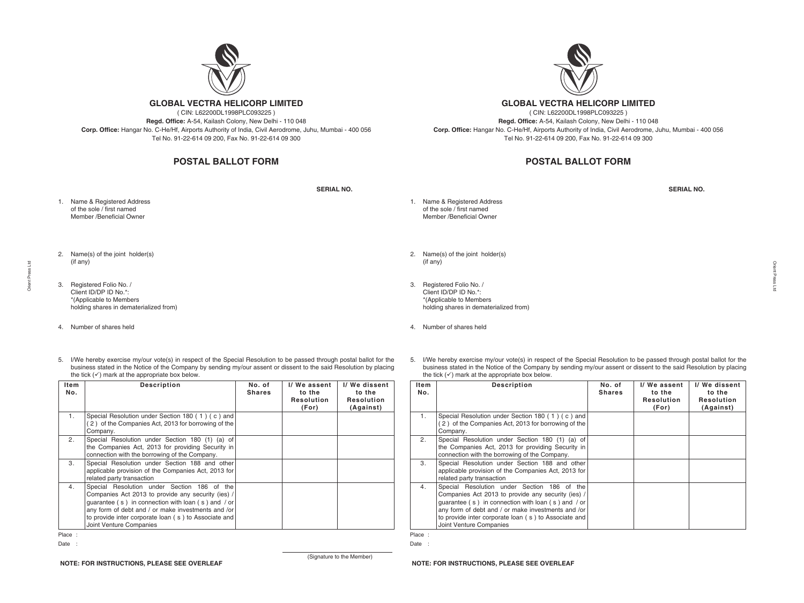

## **GLOBAL VECTRA HELICORP LIMITED**

( CIN: L62200DL1998PLC093225 ) **Regd. Office:** A-54, Kailash Colony, New Delhi - 110 048 **Corp. Office:** Hangar No. C-He/Hf, Airports Authority of India, Civil Aerodrome, Juhu, Mumbai - 400 056 Tel No. 91-22-614 09 200, Fax No. 91-22-614 09 300

## **POSTAL BALLOT FORM**

**SERIAL NO.**

- 1. Name & Registered Address of the sole / first named Member /Beneficial Owner
- 2. Name(s) of the joint holder(s) (if any)
- 3. Registered Folio No. / Client ID/DP ID No.\*: \*(Applicable to Members holding shares in dematerialized from)
- 4. Number of shares held
- 5. I/We hereby exercise my/our vote(s) in respect of the Special Resolution to be passed through postal ballot for the business stated in the Notice of the Company by sending my/our assent or dissent to the said Resolution by placing the tick  $(\checkmark)$  mark at the appropriate box below.

| ltem<br>No. | <b>Description</b>                                                                                                                                                                                                                                                                                          | No. of<br><b>Shares</b> | I/ We assent<br>to the<br><b>Resolution</b><br>(For) | I/ We dissent<br>to the<br><b>Resolution</b><br>(Against) |
|-------------|-------------------------------------------------------------------------------------------------------------------------------------------------------------------------------------------------------------------------------------------------------------------------------------------------------------|-------------------------|------------------------------------------------------|-----------------------------------------------------------|
| 1.          | Special Resolution under Section 180 (1) (c) and<br>(2) of the Companies Act, 2013 for borrowing of the<br>Company.                                                                                                                                                                                         |                         |                                                      |                                                           |
| 2.          | Special Resolution under Section 180 (1) (a) of<br>the Companies Act, 2013 for providing Security in<br>connection with the borrowing of the Company.                                                                                                                                                       |                         |                                                      |                                                           |
| 3.          | Special Resolution under Section 188 and other<br>applicable provision of the Companies Act, 2013 for<br>related party transaction                                                                                                                                                                          |                         |                                                      |                                                           |
| 4.          | Special Resolution under Section 186 of the<br>Companies Act 2013 to provide any security (ies) /<br>guarantee $(s)$ in connection with loan $(s)$ and $\theta$ or<br>any form of debt and / or make investments and /or<br>to provide inter corporate loan (s) to Associate and<br>Joint Venture Companies |                         |                                                      |                                                           |

Place :

Date :